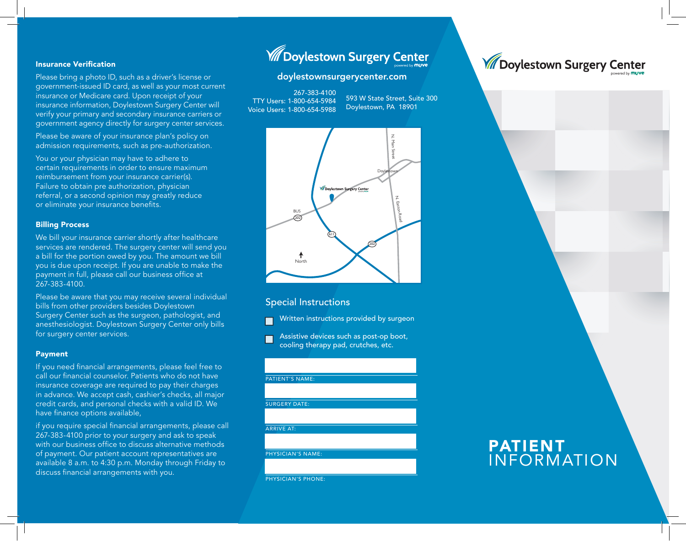#### Insurance Verification

Please bring a photo ID, such as a driver's license or government-issued ID card, as well as your most current insurance or Medicare card. Upon receipt of your insurance information, Doylestown Surgery Center will verify your primary and secondary insurance carriers or government agency directly for surgery center services.

Please be aware of your insurance plan's policy on admission requirements, such as pre-authorization.

You or your physician may have to adhere to certain requirements in order to ensure maximum reimbursement from your insurance carrier(s). Failure to obtain pre authorization, physician referral, or a second opinion may greatly reduce or eliminate your insurance benefits.

#### Billing Process

We bill your insurance carrier shortly after healthcare services are rendered. The surgery center will send you a bill for the portion owed by you. The amount we bill you is due upon receipt. If you are unable to make the payment in full, please call our business office at 267-383-4100.

Please be aware that you may receive several individual bills from other providers besides Doylestown Surgery Center such as the surgeon, pathologist, and anesthesiologist. Doylestown Surgery Center only bills for surgery center services.

#### Payment

If you need financial arrangements, please feel free to call our financial counselor. Patients who do not have insurance coverage are required to pay their charges in advance. We accept cash, cashier's checks, all major credit cards, and personal checks with a valid ID. We have finance options available,

if you require special financial arrangements, please call 267-383-4100 prior to your surgery and ask to speak with our business office to discuss alternative methods of payment. Our patient account representatives are available 8 a.m. to 4:30 p.m. Monday through Friday to discuss financial arrangements with you.

# **W** Doylestown Surgery Center

#### doylestownsurgerycenter.com

267-383-4100 TTY Users: 1-800-654-5984 Voice Users: 1-800-654-5988

593 W State Street, Suite 300 Doylestown, PA 18901



#### Special Instructions

- Written instructions provided by surgeon
- Assistive devices such as post-op boot, cooling therapy pad, crutches, etc.

| <b>PATIENT'S NAME:</b>   |  |
|--------------------------|--|
|                          |  |
|                          |  |
| <b>SURGERY DATE:</b>     |  |
|                          |  |
|                          |  |
| <b>ARRIVE AT:</b>        |  |
|                          |  |
|                          |  |
| <b>PHYSICIAN'S NAME:</b> |  |
|                          |  |
|                          |  |
|                          |  |

PHYSICIAN'S PHONE



**W** Doylestown Surgery Center